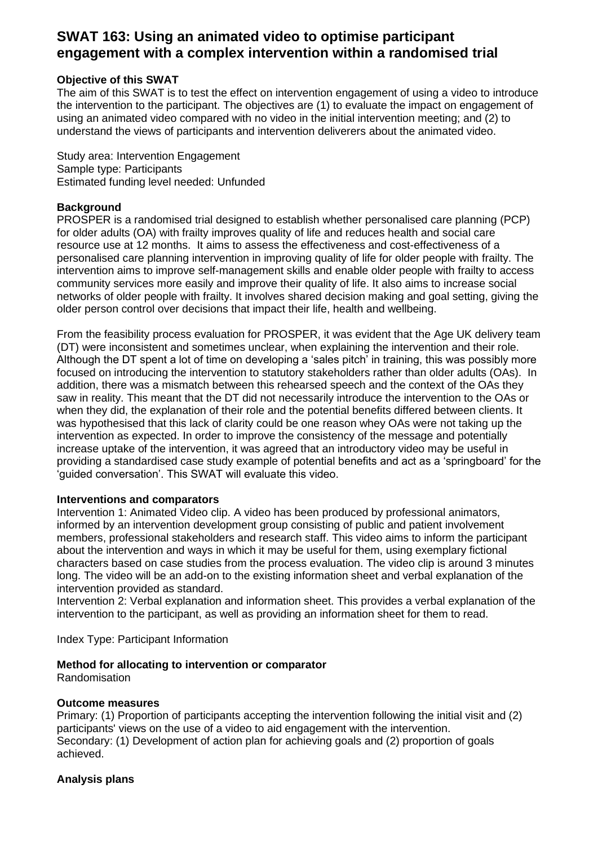# **SWAT 163: Using an animated video to optimise participant engagement with a complex intervention within a randomised trial**

# **Objective of this SWAT**

The aim of this SWAT is to test the effect on intervention engagement of using a video to introduce the intervention to the participant. The objectives are (1) to evaluate the impact on engagement of using an animated video compared with no video in the initial intervention meeting; and (2) to understand the views of participants and intervention deliverers about the animated video.

Study area: Intervention Engagement Sample type: Participants Estimated funding level needed: Unfunded

## **Background**

PROSPER is a randomised trial designed to establish whether personalised care planning (PCP) for older adults (OA) with frailty improves quality of life and reduces health and social care resource use at 12 months. It aims to assess the effectiveness and cost-effectiveness of a personalised care planning intervention in improving quality of life for older people with frailty. The intervention aims to improve self-management skills and enable older people with frailty to access community services more easily and improve their quality of life. It also aims to increase social networks of older people with frailty. It involves shared decision making and goal setting, giving the older person control over decisions that impact their life, health and wellbeing.

From the feasibility process evaluation for PROSPER, it was evident that the Age UK delivery team (DT) were inconsistent and sometimes unclear, when explaining the intervention and their role. Although the DT spent a lot of time on developing a 'sales pitch' in training, this was possibly more focused on introducing the intervention to statutory stakeholders rather than older adults (OAs). In addition, there was a mismatch between this rehearsed speech and the context of the OAs they saw in reality. This meant that the DT did not necessarily introduce the intervention to the OAs or when they did, the explanation of their role and the potential benefits differed between clients. It was hypothesised that this lack of clarity could be one reason whey OAs were not taking up the intervention as expected. In order to improve the consistency of the message and potentially increase uptake of the intervention, it was agreed that an introductory video may be useful in providing a standardised case study example of potential benefits and act as a 'springboard' for the 'guided conversation'. This SWAT will evaluate this video.

#### **Interventions and comparators**

Intervention 1: Animated Video clip. A video has been produced by professional animators, informed by an intervention development group consisting of public and patient involvement members, professional stakeholders and research staff. This video aims to inform the participant about the intervention and ways in which it may be useful for them, using exemplary fictional characters based on case studies from the process evaluation. The video clip is around 3 minutes long. The video will be an add-on to the existing information sheet and verbal explanation of the intervention provided as standard.

Intervention 2: Verbal explanation and information sheet. This provides a verbal explanation of the intervention to the participant, as well as providing an information sheet for them to read.

Index Type: Participant Information

#### **Method for allocating to intervention or comparator**

Randomisation

#### **Outcome measures**

Primary: (1) Proportion of participants accepting the intervention following the initial visit and (2) participants' views on the use of a video to aid engagement with the intervention. Secondary: (1) Development of action plan for achieving goals and (2) proportion of goals achieved.

#### **Analysis plans**